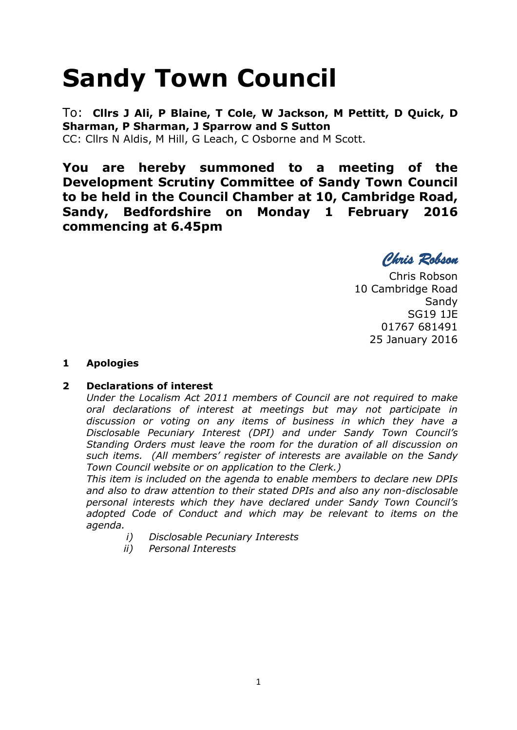# **Sandy Town Council**

To: **Cllrs J Ali, P Blaine, T Cole, W Jackson, M Pettitt, D Quick, D Sharman, P Sharman, J Sparrow and S Sutton** CC: Cllrs N Aldis, M Hill, G Leach, C Osborne and M Scott.

**You are hereby summoned to a meeting of the Development Scrutiny Committee of Sandy Town Council to be held in the Council Chamber at 10, Cambridge Road, Sandy, Bedfordshire on Monday 1 February 2016 commencing at 6.45pm**

*Chris Robson* 

Chris Robson 10 Cambridge Road Sandy SG19 1JE 01767 681491 25 January 2016

# **1 Apologies**

# **2 Declarations of interest**

*Under the Localism Act 2011 members of Council are not required to make oral declarations of interest at meetings but may not participate in discussion or voting on any items of business in which they have a Disclosable Pecuniary Interest (DPI) and under Sandy Town Council's Standing Orders must leave the room for the duration of all discussion on such items. (All members' register of interests are available on the Sandy Town Council website or on application to the Clerk.)* 

*This item is included on the agenda to enable members to declare new DPIs and also to draw attention to their stated DPIs and also any non-disclosable personal interests which they have declared under Sandy Town Council's adopted Code of Conduct and which may be relevant to items on the agenda.* 

- *i) Disclosable Pecuniary Interests*
- *ii) Personal Interests*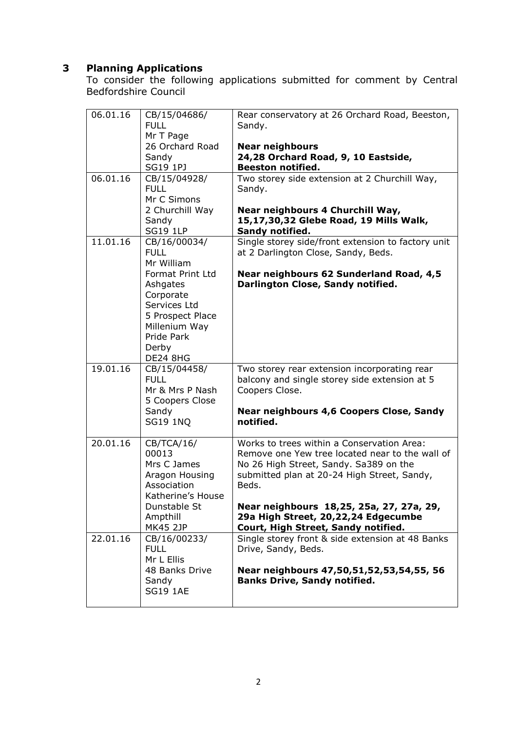# **3 Planning Applications**

To consider the following applications submitted for comment by Central Bedfordshire Council

| 06.01.16 | CB/15/04686/<br><b>FULL</b><br>Mr T Page                                                                                                 | Rear conservatory at 26 Orchard Road, Beeston,<br>Sandy.                                                                                                                                        |
|----------|------------------------------------------------------------------------------------------------------------------------------------------|-------------------------------------------------------------------------------------------------------------------------------------------------------------------------------------------------|
|          | 26 Orchard Road<br>Sandy<br><b>SG19 1PJ</b>                                                                                              | <b>Near neighbours</b><br>24,28 Orchard Road, 9, 10 Eastside,<br><b>Beeston notified.</b>                                                                                                       |
| 06.01.16 | CB/15/04928/<br><b>FULL</b><br>Mr C Simons                                                                                               | Two storey side extension at 2 Churchill Way,<br>Sandy.                                                                                                                                         |
|          | 2 Churchill Way<br>Sandy<br><b>SG19 1LP</b>                                                                                              | Near neighbours 4 Churchill Way,<br>15,17,30,32 Glebe Road, 19 Mills Walk,<br>Sandy notified.                                                                                                   |
| 11.01.16 | CB/16/00034/<br><b>FULL</b><br>Mr William                                                                                                | Single storey side/front extension to factory unit<br>at 2 Darlington Close, Sandy, Beds.                                                                                                       |
|          | Format Print Ltd<br>Ashgates<br>Corporate<br>Services Ltd<br>5 Prospect Place<br>Millenium Way<br>Pride Park<br>Derby<br><b>DE24 8HG</b> | Near neighbours 62 Sunderland Road, 4,5<br>Darlington Close, Sandy notified.                                                                                                                    |
| 19.01.16 | CB/15/04458/<br><b>FULL</b><br>Mr & Mrs P Nash<br>5 Coopers Close                                                                        | Two storey rear extension incorporating rear<br>balcony and single storey side extension at 5<br>Coopers Close.                                                                                 |
|          | Sandy<br><b>SG19 1NQ</b>                                                                                                                 | Near neighbours 4,6 Coopers Close, Sandy<br>notified.                                                                                                                                           |
| 20.01.16 | CB/TCA/16/<br>00013<br>Mrs C James<br>Aragon Housing<br>Association<br>Katherine's House                                                 | Works to trees within a Conservation Area:<br>Remove one Yew tree located near to the wall of<br>No 26 High Street, Sandy. Sa389 on the<br>submitted plan at 20-24 High Street, Sandy,<br>Beds. |
|          | Dunstable St<br>Ampthill<br>MK45 2JP                                                                                                     | Near neighbours 18,25, 25a, 27, 27a, 29,<br>29a High Street, 20,22,24 Edgecumbe<br>Court, High Street, Sandy notified.                                                                          |
| 22.01.16 | CB/16/00233/<br><b>FULL</b><br>Mr L Ellis                                                                                                | Single storey front & side extension at 48 Banks<br>Drive, Sandy, Beds.                                                                                                                         |
|          | 48 Banks Drive<br>Sandy<br><b>SG19 1AE</b>                                                                                               | Near neighbours 47,50,51,52,53,54,55, 56<br><b>Banks Drive, Sandy notified.</b>                                                                                                                 |